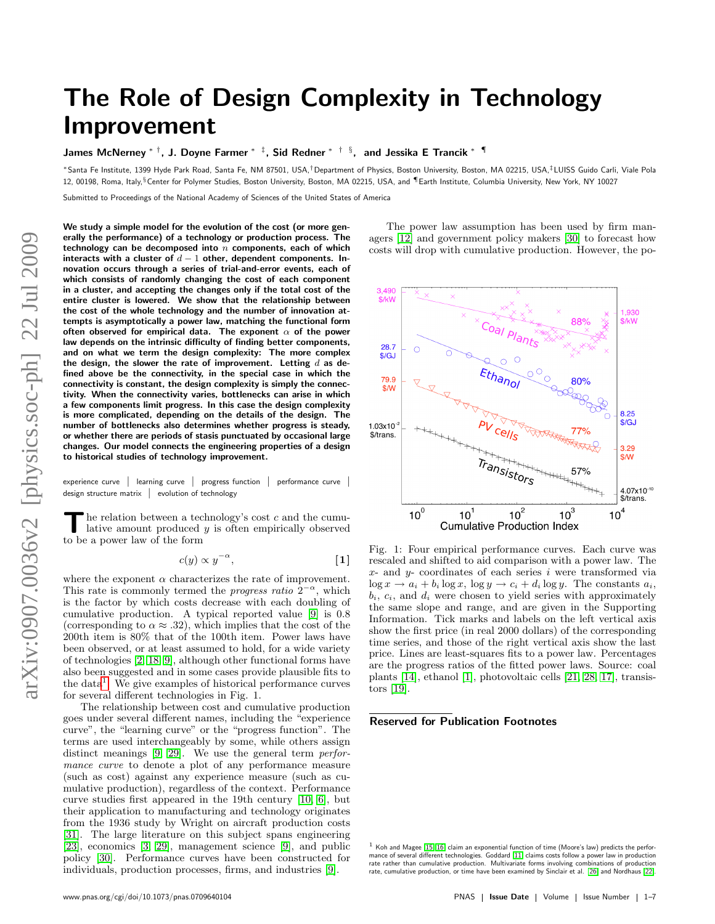# The Role of Design Complexity in Technology Improvement

James McNerney ∗ †, J. Doyne Farmer ∗ ‡, Sid Redner ∗ † §, and Jessika E Trancik ∗ ¶

<sup>∗</sup>Santa Fe Institute, 1399 Hyde Park Road, Santa Fe, NM 87501, USA,†Department of Physics, Boston University, Boston, MA 02215, USA,‡LUISS Guido Carli, Viale Pola 12, 00198, Roma, Italy,<sup>§</sup> Center for Polymer Studies, Boston University, Boston, MA 02215, USA, and <sup>¶</sup>Earth Institute, Columbia University, New York, NY 10027

Submitted to Proceedings of the National Academy of Sciences of the United States of America

We study a simple model for the evolution of the cost (or more generally the performance) of a technology or production process. The technology can be decomposed into  $n$  components, each of which interacts with a cluster of  $d-1$  other, dependent components. Innovation occurs through a series of trial-and-error events, each of which consists of randomly changing the cost of each component in a cluster, and accepting the changes only if the total cost of the entire cluster is lowered. We show that the relationship between the cost of the whole technology and the number of innovation attempts is asymptotically a power law, matching the functional form often observed for empirical data. The exponent  $\alpha$  of the power law depends on the intrinsic difficulty of finding better components, and on what we term the design complexity: The more complex the design, the slower the rate of improvement. Letting  $d$  as defined above be the connectivity, in the special case in which the connectivity is constant, the design complexity is simply the connectivity. When the connectivity varies, bottlenecks can arise in which a few components limit progress. In this case the design complexity is more complicated, depending on the details of the design. The number of bottlenecks also determines whether progress is steady, or whether there are periods of stasis punctuated by occasional large changes. Our model connects the engineering properties of a design to historical studies of technology improvement.

experience curve | learning curve | progress function | performance curve | design structure matrix | evolution of technology

The relation between a technology's cost  $c$  and the cumulative amount produced  $y$  is often empirically observed he relation between a technology's cost c and the cumuto be a power law of the form

$$
c(y) \propto y^{-\alpha}, \tag{1}
$$

where the exponent  $\alpha$  characterizes the rate of improvement. This rate is commonly termed the *progress ratio*  $2^{-\alpha}$ , which is the factor by which costs decrease with each doubling of cumulative production. A typical reported value [\[9\]](#page-5-0) is 0.8 (corresponding to  $\alpha \approx .32$ ), which implies that the cost of the 200th item is 80% that of the 100th item. Power laws have been observed, or at least assumed to hold, for a wide variety of technologies [\[2,](#page-5-1) [18,](#page-5-2) [9\]](#page-5-0), although other functional forms have also been suggested and in some cases provide plausible fits to the data<sup>[1](#page-0-0)</sup>. We give examples of historical performance curves for several different technologies in Fig. 1.

The relationship between cost and cumulative production goes under several different names, including the "experience curve", the "learning curve" or the "progress function". The terms are used interchangeably by some, while others assign distinct meanings [\[9,](#page-5-0) [29\]](#page-5-3). We use the general term performance curve to denote a plot of any performance measure (such as cost) against any experience measure (such as cumulative production), regardless of the context. Performance curve studies first appeared in the 19th century [\[10,](#page-5-4) [6\]](#page-5-5), but their application to manufacturing and technology originates from the 1936 study by Wright on aircraft production costs [\[31\]](#page-5-6). The large literature on this subject spans engineering [\[23\]](#page-5-7), economics [\[3,](#page-5-8) [29\]](#page-5-3), management science [\[9\]](#page-5-0), and public policy [\[30\]](#page-5-9). Performance curves have been constructed for individuals, production processes, firms, and industries [\[9\]](#page-5-0).

The power law assumption has been used by firm managers [\[12\]](#page-5-10) and government policy makers [\[30\]](#page-5-9) to forecast how costs will drop with cumulative production. However, the po-



Fig. 1: Four empirical performance curves. Each curve was rescaled and shifted to aid comparison with a power law. The  $x$ - and  $y$ - coordinates of each series i were transformed via  $\log x \to a_i + b_i \log x$ ,  $\log y \to c_i + d_i \log y$ . The constants  $a_i$ ,  $b_i, c_i$ , and  $d_i$  were chosen to yield series with approximately the same slope and range, and are given in the Supporting Information. Tick marks and labels on the left vertical axis show the first price (in real 2000 dollars) of the corresponding time series, and those of the right vertical axis show the last price. Lines are least-squares fits to a power law. Percentages are the progress ratios of the fitted power laws. Source: coal plants [\[14\]](#page-5-11), ethanol [\[1\]](#page-5-12), photovoltaic cells [\[21,](#page-5-13) [28,](#page-5-14) [17\]](#page-5-15), transistors [\[19\]](#page-5-16).

# Reserved for Publication Footnotes

<span id="page-0-0"></span> $1$  Koh and Magee [\[15,](#page-5-17) [16\]](#page-5-18) claim an exponential function of time (Moore's law) predicts the performance of several different technologies. Goddard [\[11\]](#page-5-19) claims costs follow a power law in production rate rather than cumulative production. Multivariate forms involving combinations of production rate, cumulative production, or time have been examined by Sinclair et al. [\[26\]](#page-5-20) and Nordhaus [\[22\]](#page-5-21).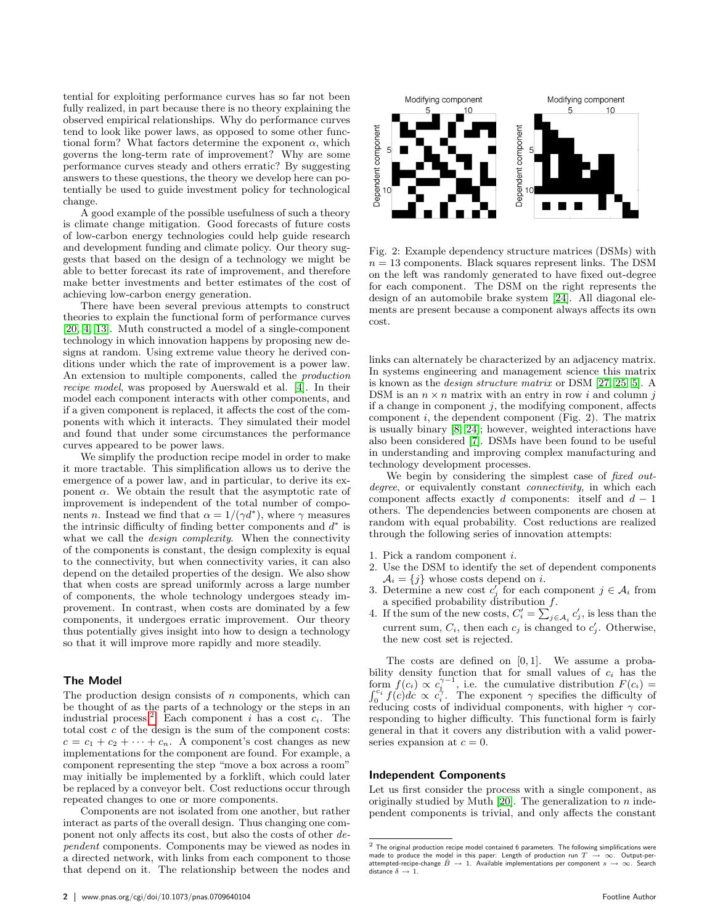tential for exploiting performance curves has so far not been fully realized, in part because there is no theory explaining the observed empirical relationships. Why do performance curves tend to look like power laws, as opposed to some other functional form? What factors determine the exponent  $\alpha$ , which governs the long-term rate of improvement? Why are some performance curves steady and others erratic? By suggesting answers to these questions, the theory we develop here can potentially be used to guide investment policy for technological change.

A good example of the possible usefulness of such a theory is climate change mitigation. Good forecasts of future costs of low-carbon energy technologies could help guide research and development funding and climate policy. Our theory suggests that based on the design of a technology we might be able to better forecast its rate of improvement, and therefore make better investments and better estimates of the cost of achieving low-carbon energy generation.

There have been several previous attempts to construct theories to explain the functional form of performance curves [\[20,](#page-5-22) [4,](#page-5-23) [13\]](#page-5-24). Muth constructed a model of a single-component technology in which innovation happens by proposing new designs at random. Using extreme value theory he derived conditions under which the rate of improvement is a power law. An extension to multiple components, called the production recipe model, was proposed by Auerswald et al. [\[4\]](#page-5-23). In their model each component interacts with other components, and if a given component is replaced, it affects the cost of the components with which it interacts. They simulated their model and found that under some circumstances the performance curves appeared to be power laws.

We simplify the production recipe model in order to make it more tractable. This simplification allows us to derive the emergence of a power law, and in particular, to derive its exponent  $\alpha$ . We obtain the result that the asymptotic rate of improvement is independent of the total number of components *n*. Instead we find that  $\alpha = 1/(\gamma d^*)$ , where  $\gamma$  measures the intrinsic difficulty of finding better components and  $d^*$  is what we call the *design complexity*. When the connectivity of the components is constant, the design complexity is equal to the connectivity, but when connectivity varies, it can also depend on the detailed properties of the design. We also show that when costs are spread uniformly across a large number of components, the whole technology undergoes steady improvement. In contrast, when costs are dominated by a few components, it undergoes erratic improvement. Our theory thus potentially gives insight into how to design a technology so that it will improve more rapidly and more steadily.

## The Model

The production design consists of  $n$  components, which can be thought of as the parts of a technology or the steps in an industrial process.<sup>[2](#page-1-0)</sup> Each component i has a cost  $c_i$ . The total cost  $c$  of the design is the sum of the component costs:  $c = c_1 + c_2 + \cdots + c_n$ . A component's cost changes as new implementations for the component are found. For example, a component representing the step "move a box across a room" may initially be implemented by a forklift, which could later be replaced by a conveyor belt. Cost reductions occur through repeated changes to one or more components.

Components are not isolated from one another, but rather interact as parts of the overall design. Thus changing one component not only affects its cost, but also the costs of other dependent components. Components may be viewed as nodes in a directed network, with links from each component to those that depend on it. The relationship between the nodes and



Fig. 2: Example dependency structure matrices (DSMs) with  $n = 13$  components. Black squares represent links. The DSM on the left was randomly generated to have fixed out-degree for each component. The DSM on the right represents the design of an automobile brake system [\[24\]](#page-5-25). All diagonal elements are present because a component always affects its own cost.

links can alternately be characterized by an adjacency matrix. In systems engineering and management science this matrix is known as the design structure matrix or DSM [\[27,](#page-5-26) [25,](#page-5-27) [5\]](#page-5-28). A DSM is an  $n \times n$  matrix with an entry in row i and column j if a change in component  $j$ , the modifying component, affects component  $i$ , the dependent component (Fig. 2). The matrix is usually binary [\[8,](#page-5-29) [24\]](#page-5-25); however, weighted interactions have also been considered [\[7\]](#page-5-30). DSMs have been found to be useful in understanding and improving complex manufacturing and technology development processes.

We begin by considering the simplest case of fixed outdegree, or equivalently constant *connectivity*, in which each component affects exactly d components: itself and  $d-1$ others. The dependencies between components are chosen at random with equal probability. Cost reductions are realized through the following series of innovation attempts:

- 1. Pick a random component i.
- 2. Use the DSM to identify the set of dependent components  $A_i = \{j\}$  whose costs depend on i.
- 3. Determine a new cost  $c_j'$  for each component  $j \in \mathcal{A}_i$  from a specified probability distribution  $f$ .
- 4. If the sum of the new costs,  $C_i' = \sum_{j \in A_i} c_j'$ , is less than the current sum,  $C_i$ , then each  $c_j$  is changed to  $c'_j$ . Otherwise, the new cost set is rejected.

The costs are defined on  $[0, 1]$ . We assume a probability density function that for small values of  $c_i$  has the form  $f(c_i) \propto c_i^{\gamma-1}$ , i.e. the cumulative distribution  $F(c_i) = \int_0^{c_i} f(c)dc \propto c_i^{\gamma}$ . The exponent  $\gamma$  specifies the difficulty of reducing costs of individual components, with higher  $\gamma$  corresponding to higher difficulty. This functional form is fairly general in that it covers any distribution with a valid powerseries expansion at  $c = 0$ .

## Independent Components

Let us first consider the process with a single component, as originally studied by Muth  $[20]$ . The generalization to n independent components is trivial, and only affects the constant

<span id="page-1-0"></span> $2$  The original production recipe model contained 6 parameters. The following simplifications were made to produce the model in this paper: Length of production run  $T \rightarrow \infty$ . Output-perattempted-recipe-change  $\hat{B}$   $\rightarrow$  1. Available implementations per component  $s$   $\rightarrow$   $\infty$ . Search distance  $\delta \rightarrow 1$ .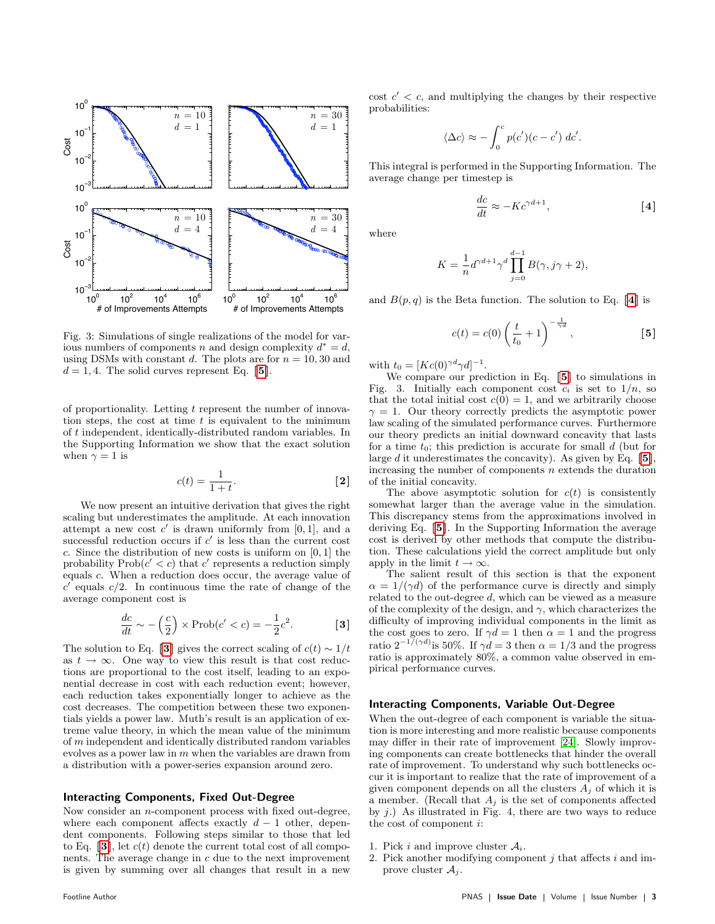

Fig. 3: Simulations of single realizations of the model for various numbers of components n and design complexity  $d^* = d$ , using DSMs with constant d. The plots are for  $n = 10, 30$  and  $d = 1, 4$ . The solid curves represent Eq. [5].

of proportionality. Letting  $t$  represent the number of innovation steps, the cost at time  $t$  is equivalent to the minimum of t independent, identically-distributed random variables. In the Supporting Information we show that the exact solution when  $\gamma = 1$  is

$$
c(t) = \frac{1}{1+t}.\tag{2}
$$

We now present an intuitive derivation that gives the right scaling but underestimates the amplitude. At each innovation attempt a new cost  $c'$  is drawn uniformly from  $[0, 1]$ , and a successful reduction occurs if  $c'$  is less than the current cost c. Since the distribution of new costs is uniform on  $[0, 1]$  the probability  $\text{Prob}(c' < c)$  that c' represents a reduction simply equals c. When a reduction does occur, the average value of  $c'$  equals  $c/2$ . In continuous time the rate of change of the average component cost is

$$
\frac{dc}{dt} \sim -\left(\frac{c}{2}\right) \times \text{Prob}(c' < c) = -\frac{1}{2}c^2.
$$
 [3]

The solution to Eq. [[3](#page-2-1)] gives the correct scaling of  $c(t) \sim 1/t$ as  $t \to \infty$ . One way to view this result is that cost reductions are proportional to the cost itself, leading to an exponential decrease in cost with each reduction event; however, each reduction takes exponentially longer to achieve as the cost decreases. The competition between these two exponentials yields a power law. Muth's result is an application of extreme value theory, in which the mean value of the minimum of m independent and identically distributed random variables evolves as a power law in  $m$  when the variables are drawn from a distribution with a power-series expansion around zero.

#### Interacting Components, Fixed Out-Degree

Now consider an n-component process with fixed out-degree, where each component affects exactly  $d-1$  other, dependent components. Following steps similar to those that led to Eq. [3], let  $c(t)$  denote the current total cost of all components. The average change in c due to the next improvement is given by summing over all changes that result in a new

cost  $c' < c$ , and multiplying the changes by their respective probabilities:

$$
\langle \Delta c \rangle \approx -\int_0^c p(c')(c-c')\,dc'.
$$

This integral is performed in the Supporting Information. The average change per timestep is

<span id="page-2-2"></span>
$$
\frac{dc}{dt} \approx -Ke^{\gamma d+1},\tag{4}
$$

where

$$
K = \frac{1}{n} d^{\gamma d+1} \gamma^d \prod_{j=0}^{d-1} B(\gamma, j\gamma + 2),
$$

and  $B(p,q)$  is the Beta function. The solution to Eq. [4] is

<span id="page-2-0"></span>
$$
c(t) = c(0) \left(\frac{t}{t_0} + 1\right)^{-\frac{1}{\gamma d}}, \qquad [5]
$$

with  $t_0 = [Kc(0)^{\gamma d} \gamma d]^{-1}$ .

We compare our prediction in Eq.  $[5]$  to simulations in Fig. 3. Initially each component cost  $c_i$  is set to  $1/n$ , so that the total initial cost  $c(0) = 1$ , and we arbitrarily choose  $\gamma = 1$ . Our theory correctly predicts the asymptotic power law scaling of the simulated performance curves. Furthermore our theory predicts an initial downward concavity that lasts for a time  $t_0$ ; this prediction is accurate for small d (but for large d it underestimates the concavity). As given by Eq.  $[5]$ , increasing the number of components  $n$  extends the duration of the initial concavity.

The above asymptotic solution for  $c(t)$  is consistently somewhat larger than the average value in the simulation. This discrepancy stems from the approximations involved in deriving Eq. [[5 \]](#page-2-0). In the Supporting Information the average cost is derived by other methods that compute the distribution. These calculations yield the correct amplitude but only apply in the limit  $t \to \infty$ .

<span id="page-2-1"></span>The salient result of this section is that the exponent  $\alpha = 1/(\gamma d)$  of the performance curve is directly and simply related to the out-degree d, which can be viewed as a measure of the complexity of the design, and  $\gamma$ , which characterizes the difficulty of improving individual components in the limit as the cost goes to zero. If  $\gamma d = 1$  then  $\alpha = 1$  and the progress ratio  $2^{-1/(\gamma d)}$  is 50%. If  $\gamma d = 3$  then  $\alpha = 1/3$  and the progress ratio is approximately 80%, a common value observed in empirical performance curves.

## Interacting Components, Variable Out-Degree

When the out-degree of each component is variable the situation is more interesting and more realistic because components may differ in their rate of improvement [\[24\]](#page-5-25). Slowly improving components can create bottlenecks that hinder the overall rate of improvement. To understand why such bottlenecks occur it is important to realize that the rate of improvement of a given component depends on all the clusters  $A_i$  of which it is a member. (Recall that  $A_j$  is the set of components affected by  $j$ .) As illustrated in Fig. 4, there are two ways to reduce the cost of component i:

- 1. Pick i and improve cluster  $A_i$ .
- 2. Pick another modifying component  $j$  that affects  $i$  and improve cluster  $A_i$ .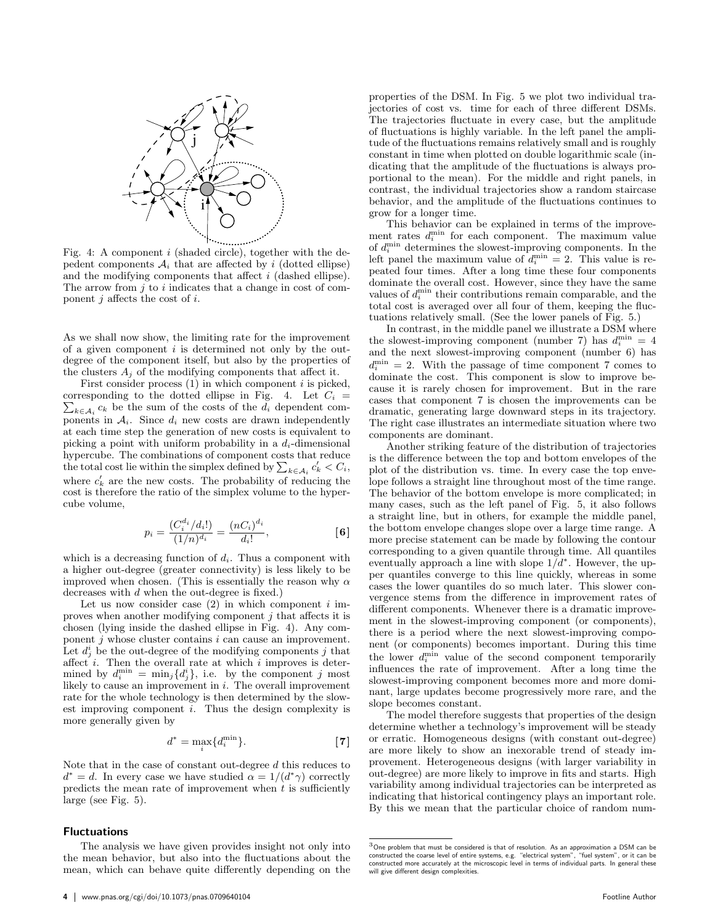

Fig. 4: A component i (shaded circle), together with the depedent components  $A_i$  that are affected by i (dotted ellipse) and the modifying components that affect  $i$  (dashed ellipse). The arrow from  $j$  to  $i$  indicates that a change in cost of component  $j$  affects the cost of  $i$ .

As we shall now show, the limiting rate for the improvement of a given component  $i$  is determined not only by the outdegree of the component itself, but also by the properties of the clusters  $A_i$  of the modifying components that affect it.

First consider process  $(1)$  in which component i is picked, corresponding to the dotted ellipse in Fig. 4. Let  $C_i$  =  $\sum_{k\in\mathcal{A}_i} c_k$  be the sum of the costs of the  $d_i$  dependent components in  $A_i$ . Since  $d_i$  new costs are drawn independently at each time step the generation of new costs is equivalent to picking a point with uniform probability in a  $d_i$ -dimensional hypercube. The combinations of component costs that reduce the total cost lie within the simplex defined by  $\sum_{k \in A_i} c'_k < C_i$ , where  $c'_{k}$  are the new costs. The probability of reducing the cost is therefore the ratio of the simplex volume to the hypercube volume,

$$
p_i = \frac{(C_i^{d_i}/d_i!)}{(1/n)^{d_i}} = \frac{(nC_i)^{d_i}}{d_i!},
$$
 [6]

which is a decreasing function of  $d_i$ . Thus a component with a higher out-degree (greater connectivity) is less likely to be improved when chosen. (This is essentially the reason why  $\alpha$ decreases with d when the out-degree is fixed.)

Let us now consider case  $(2)$  in which component i improves when another modifying component  $j$  that affects it is chosen (lying inside the dashed ellipse in Fig. 4). Any component  $j$  whose cluster contains  $i$  can cause an improvement. Let  $d_j^i$  be the out-degree of the modifying components j that affect  $i$ . Then the overall rate at which  $i$  improves is determined by  $d_i^{\min} = \min_j \{d_j^i\}$ , i.e. by the component j most likely to cause an improvement in  $i$ . The overall improvement rate for the whole technology is then determined by the slowest improving component i. Thus the design complexity is more generally given by

<span id="page-3-1"></span>
$$
d^* = \max_i \{ d_i^{\min} \}.
$$
 [7]

Note that in the case of constant out-degree d this reduces to  $d^* = d$ . In every case we have studied  $\alpha = 1/(d^*\gamma)$  correctly predicts the mean rate of improvement when  $t$  is sufficiently large (see Fig. 5).

#### Fluctuations

The analysis we have given provides insight not only into the mean behavior, but also into the fluctuations about the mean, which can behave quite differently depending on the properties of the DSM. In Fig. 5 we plot two individual trajectories of cost vs. time for each of three different DSMs. The trajectories fluctuate in every case, but the amplitude of fluctuations is highly variable. In the left panel the amplitude of the fluctuations remains relatively small and is roughly constant in time when plotted on double logarithmic scale (indicating that the amplitude of the fluctuations is always proportional to the mean). For the middle and right panels, in contrast, the individual trajectories show a random staircase behavior, and the amplitude of the fluctuations continues to grow for a longer time.

This behavior can be explained in terms of the improvement rates  $d_i^{\min}$  for each component. The maximum value of  $d_i^{\min}$  determines the slowest-improving components. In the left panel the maximum value of  $d_i^{\min} = 2$ . This value is repeated four times. After a long time these four components dominate the overall cost. However, since they have the same values of  $d_i^{\min}$  their contributions remain comparable, and the total cost is averaged over all four of them, keeping the fluctuations relatively small. (See the lower panels of Fig. 5.)

In contrast, in the middle panel we illustrate a DSM where the slowest-improving component (number 7) has  $d_i^{\min} = 4$ and the next slowest-improving component (number 6) has  $d_i^{\min} = 2$ . With the passage of time component 7 comes to dominate the cost. This component is slow to improve because it is rarely chosen for improvement. But in the rare cases that component 7 is chosen the improvements can be dramatic, generating large downward steps in its trajectory. The right case illustrates an intermediate situation where two components are dominant.

Another striking feature of the distribution of trajectories is the difference between the top and bottom envelopes of the plot of the distribution vs. time. In every case the top envelope follows a straight line throughout most of the time range. The behavior of the bottom envelope is more complicated; in many cases, such as the left panel of Fig. 5, it also follows a straight line, but in others, for example the middle panel, the bottom envelope changes slope over a large time range. A more precise statement can be made by following the contour corresponding to a given quantile through time. All quantiles eventually approach a line with slope  $1/d^*$ . However, the upper quantiles converge to this line quickly, whereas in some cases the lower quantiles do so much later. This slower convergence stems from the difference in improvement rates of different components. Whenever there is a dramatic improvement in the slowest-improving component (or components), there is a period where the next slowest-improving component (or components) becomes important. During this time the lower  $d_i^{\min}$  value of the second component temporarily influences the rate of improvement. After a long time the slowest-improving component becomes more and more dominant, large updates become progressively more rare, and the slope becomes constant.

The model therefore suggests that properties of the design determine whether a technology's improvement will be steady or erratic. Homogeneous designs (with constant out-degree) are more likely to show an inexorable trend of steady improvement. Heterogeneous designs (with larger variability in out-degree) are more likely to improve in fits and starts. High variability among individual trajectories can be interpreted as indicating that historical contingency plays an important role. By this we mean that the particular choice of random num-

<span id="page-3-0"></span> $^3$ One problem that must be considered is that of resolution. As an approximation a DSM can be<br>constructed the coarse level of entire systems, e.g. "electrical system", "fuel system", or it can be constructed more accurately at the microscopic level in terms of individual parts. In general these will give different design complexities.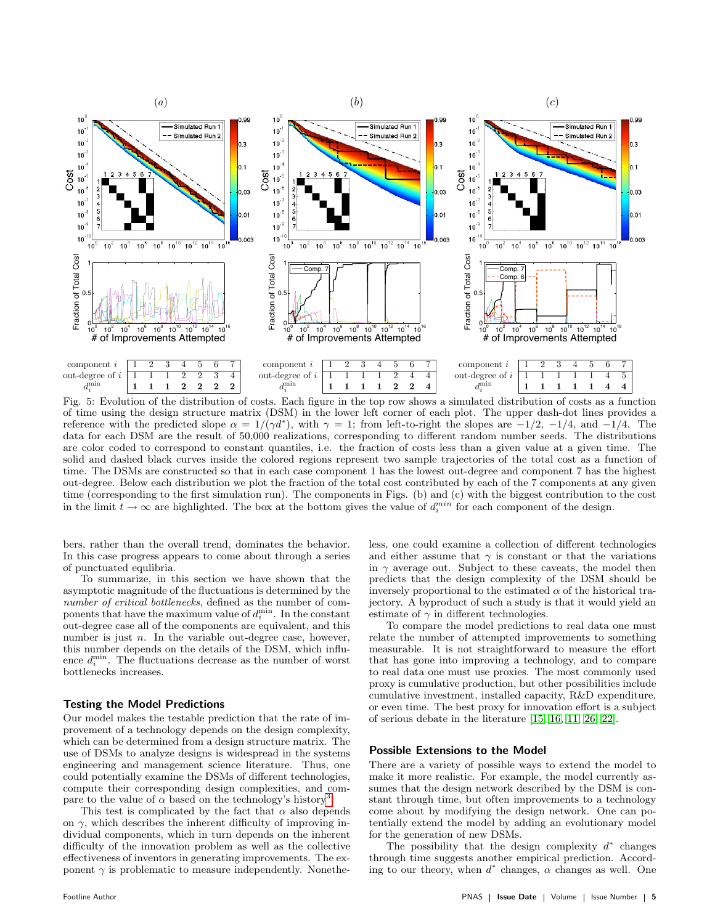

Fig. 5: Evolution of the distribution of costs. Each figure in the top row shows a simulated distribution of costs as a function of time using the design structure matrix (DSM) in the lower left corner of each plot. The upper dash-dot lines provides a reference with the predicted slope  $\alpha = 1/\langle \gamma d^* \rangle$ , with  $\gamma = 1$ ; from left-to-right the slopes are  $-1/2$ ,  $-1/4$ , and  $-1/4$ . The data for each DSM are the result of 50,000 realizations, corresponding to different random number seeds. The distributions are color coded to correspond to constant quantiles, i.e. the fraction of costs less than a given value at a given time. The solid and dashed black curves inside the colored regions represent two sample trajectories of the total cost as a function of time. The DSMs are constructed so that in each case component 1 has the lowest out-degree and component 7 has the highest out-degree. Below each distribution we plot the fraction of the total cost contributed by each of the 7 components at any given time (corresponding to the first simulation run). The components in Figs. (b) and (c) with the biggest contribution to the cost in the limit  $t \to \infty$  are highlighted. The box at the bottom gives the value of  $d_i^{min}$  for each component of the design.

bers, rather than the overall trend, dominates the behavior. In this case progress appears to come about through a series of punctuated equlibria.

To summarize, in this section we have shown that the asymptotic magnitude of the fluctuations is determined by the number of critical bottlenecks, defined as the number of components that have the maximum value of  $d_i^{\min}$ . In the constant out-degree case all of the components are equivalent, and this number is just  $n$ . In the variable out-degree case, however, this number depends on the details of the DSM, which influence  $d_i^{\min}$ . The fluctuations decrease as the number of worst bottlenecks increases.

# Testing the Model Predictions

Our model makes the testable prediction that the rate of improvement of a technology depends on the design complexity, which can be determined from a design structure matrix. The use of DSMs to analyze designs is widespread in the systems engineering and management science literature. Thus, one could potentially examine the DSMs of different technologies, compute their corresponding design complexities, and compare to the value of  $\alpha$  based on the technology's history<sup>[3](#page-3-0)</sup>.

This test is complicated by the fact that  $\alpha$  also depends on  $\gamma$ , which describes the inherent difficulty of improving individual components, which in turn depends on the inherent difficulty of the innovation problem as well as the collective effectiveness of inventors in generating improvements. The exponent  $\gamma$  is problematic to measure independently. Nonethe-

less, one could examine a collection of different technologies and either assume that  $\gamma$  is constant or that the variations in  $\gamma$  average out. Subject to these caveats, the model then predicts that the design complexity of the DSM should be inversely proportional to the estimated  $\alpha$  of the historical trajectory. A byproduct of such a study is that it would yield an estimate of  $\gamma$  in different technologies.

To compare the model predictions to real data one must relate the number of attempted improvements to something measurable. It is not straightforward to measure the effort that has gone into improving a technology, and to compare to real data one must use proxies. The most commonly used proxy is cumulative production, but other possibilities include cumulative investment, installed capacity, R&D expenditure, or even time. The best proxy for innovation effort is a subject of serious debate in the literature [\[15,](#page-5-17) [16,](#page-5-18) [11,](#page-5-19) [26,](#page-5-20) [22\]](#page-5-21).

#### Possible Extensions to the Model

There are a variety of possible ways to extend the model to make it more realistic. For example, the model currently assumes that the design network described by the DSM is constant through time, but often improvements to a technology come about by modifying the design network. One can potentially extend the model by adding an evolutionary model for the generation of new DSMs.

The possibility that the design complexity  $d^*$  changes through time suggests another empirical prediction. According to our theory, when  $d^*$  changes,  $\alpha$  changes as well. One